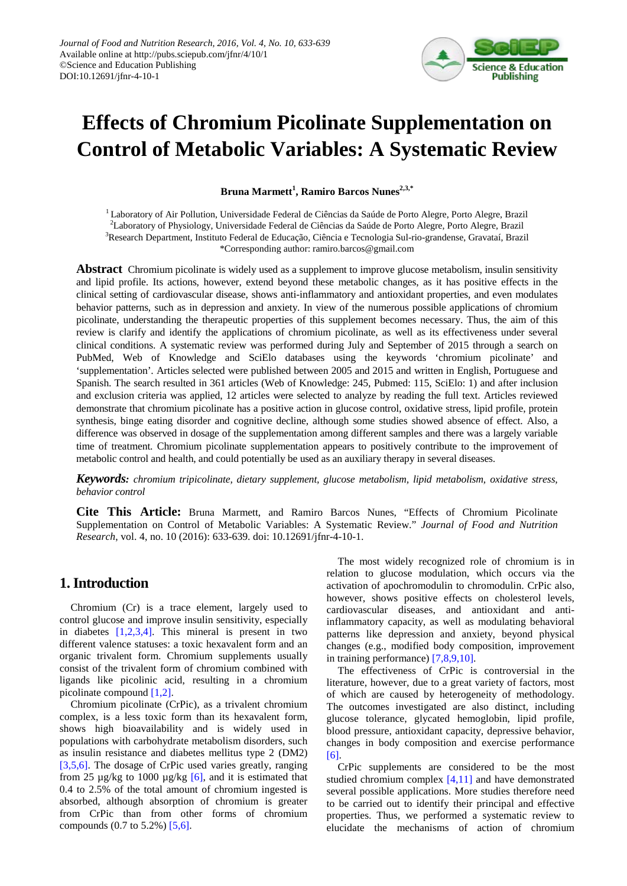

# **Effects of Chromium Picolinate Supplementation on Control of Metabolic Variables: A Systematic Review**

**Bruna Marmett<sup>1</sup> , Ramiro Barcos Nunes2,3,\***

1 Laboratory of Air Pollution, Universidade Federal de Ciências da Saúde de Porto Alegre, Porto Alegre, Brazil 2 Laboratory of Physiology, Universidade Federal de Ciências da Saúde de Porto Alegre, Porto Alegre, Brazil <sup>3</sup>Research Department, Instituto Federal de Educação, Ciência e Tecnologia Sul-rio-grandense, Gravataí, Brazil \*Corresponding author: ramiro.barcos@gmail.com

**Abstract** Chromium picolinate is widely used as a supplement to improve glucose metabolism, insulin sensitivity and lipid profile. Its actions, however, extend beyond these metabolic changes, as it has positive effects in the clinical setting of cardiovascular disease, shows anti-inflammatory and antioxidant properties, and even modulates behavior patterns, such as in depression and anxiety. In view of the numerous possible applications of chromium picolinate, understanding the therapeutic properties of this supplement becomes necessary. Thus, the aim of this review is clarify and identify the applications of chromium picolinate, as well as its effectiveness under several clinical conditions. A systematic review was performed during July and September of 2015 through a search on PubMed, Web of Knowledge and SciElo databases using the keywords 'chromium picolinate' and 'supplementation'. Articles selected were published between 2005 and 2015 and written in English, Portuguese and Spanish. The search resulted in 361 articles (Web of Knowledge: 245, Pubmed: 115, SciElo: 1) and after inclusion and exclusion criteria was applied, 12 articles were selected to analyze by reading the full text. Articles reviewed demonstrate that chromium picolinate has a positive action in glucose control, oxidative stress, lipid profile, protein synthesis, binge eating disorder and cognitive decline, although some studies showed absence of effect. Also, a difference was observed in dosage of the supplementation among different samples and there was a largely variable time of treatment. Chromium picolinate supplementation appears to positively contribute to the improvement of metabolic control and health, and could potentially be used as an auxiliary therapy in several diseases.

*Keywords: chromium tripicolinate, dietary supplement, glucose metabolism, lipid metabolism, oxidative stress, behavior control*

**Cite This Article:** Bruna Marmett, and Ramiro Barcos Nunes, "Effects of Chromium Picolinate Supplementation on Control of Metabolic Variables: A Systematic Review." *Journal of Food and Nutrition Research*, vol. 4, no. 10 (2016): 633-639. doi: 10.12691/jfnr-4-10-1.

# **1. Introduction**

Chromium (Cr) is a trace element, largely used to control glucose and improve insulin sensitivity, especially in diabetes  $[1,2,3,4]$ . This mineral is present in two different valence statuses: a toxic hexavalent form and an organic trivalent form. Chromium supplements usually consist of the trivalent form of chromium combined with ligands like picolinic acid, resulting in a chromium picolinate compound [\[1,2\].](#page-5-0)

Chromium picolinate (CrPic), as a trivalent chromium complex, is a less toxic form than its hexavalent form, shows high bioavailability and is widely used in populations with carbohydrate metabolism disorders, such as insulin resistance and diabetes mellitus type 2 (DM2) [\[3,5,6\].](#page-5-1) The dosage of CrPic used varies greatly, ranging from 25  $\mu$ g/kg to 1000  $\mu$ g/kg [\[6\],](#page-5-2) and it is estimated that 0.4 to 2.5% of the total amount of chromium ingested is absorbed, although absorption of chromium is greater from CrPic than from other forms of chromium compounds (0.7 to 5.2%[\) \[5,6\].](#page-5-3)

The most widely recognized role of chromium is in relation to glucose modulation, which occurs via the activation of apochromodulin to chromodulin. CrPic also, however, shows positive effects on cholesterol levels, cardiovascular diseases, and antioxidant and antiinflammatory capacity, as well as modulating behavioral patterns like depression and anxiety, beyond physical changes (e.g., modified body composition, improvement in training performance) [\[7,8,9,10\].](#page-5-4)

The effectiveness of CrPic is controversial in the literature, however, due to a great variety of factors, most of which are caused by heterogeneity of methodology. The outcomes investigated are also distinct, including glucose tolerance, glycated hemoglobin, lipid profile, blood pressure, antioxidant capacity, depressive behavior, changes in body composition and exercise performance [\[6\].](#page-5-2)

CrPic supplements are considered to be the most studied chromium complex [\[4,11\]](#page-5-5) and have demonstrated several possible applications. More studies therefore need to be carried out to identify their principal and effective properties. Thus, we performed a systematic review to elucidate the mechanisms of action of chromium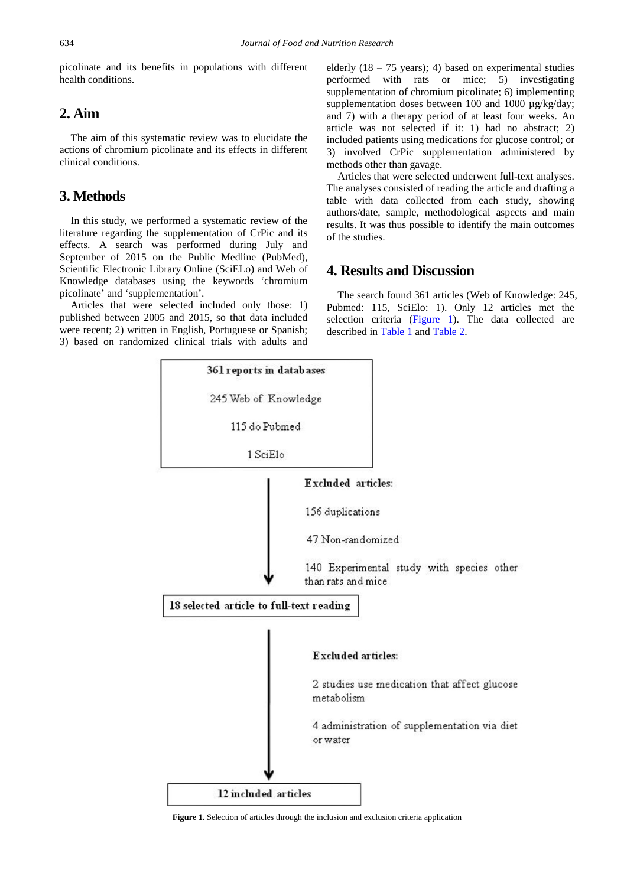picolinate and its benefits in populations with different health conditions.

# **2. Aim**

The aim of this systematic review was to elucidate the actions of chromium picolinate and its effects in different clinical conditions.

# **3. Methods**

In this study, we performed a systematic review of the literature regarding the supplementation of CrPic and its effects. A search was performed during July and September of 2015 on the Public Medline (PubMed), Scientific Electronic Library Online (SciELo) and Web of Knowledge databases using the keywords 'chromium picolinate' and 'supplementation'.

<span id="page-1-0"></span>Articles that were selected included only those: 1) published between 2005 and 2015, so that data included were recent; 2) written in English, Portuguese or Spanish; 3) based on randomized clinical trials with adults and

elderly  $(18 - 75$  years); 4) based on experimental studies performed with rats or mice; 5) investigating supplementation of chromium picolinate; 6) implementing supplementation doses between 100 and 1000  $\mu$ g/kg/day; and 7) with a therapy period of at least four weeks. An article was not selected if it: 1) had no abstract; 2) included patients using medications for glucose control; or 3) involved CrPic supplementation administered by methods other than gavage.

Articles that were selected underwent full-text analyses. The analyses consisted of reading the article and drafting a table with data collected from each study, showing authors/date, sample, methodological aspects and main results. It was thus possible to identify the main outcomes of the studies.

# **4. Results and Discussion**

The search found 361 articles (Web of Knowledge: 245, Pubmed: 115, SciElo: 1). Only 12 articles met the selection criteria [\(Figure 1\)](#page-1-0). The data collected are described in [Table 1](#page-2-0) and [Table 2.](#page-2-1)



**Figure 1.** Selection of articles through the inclusion and exclusion criteria application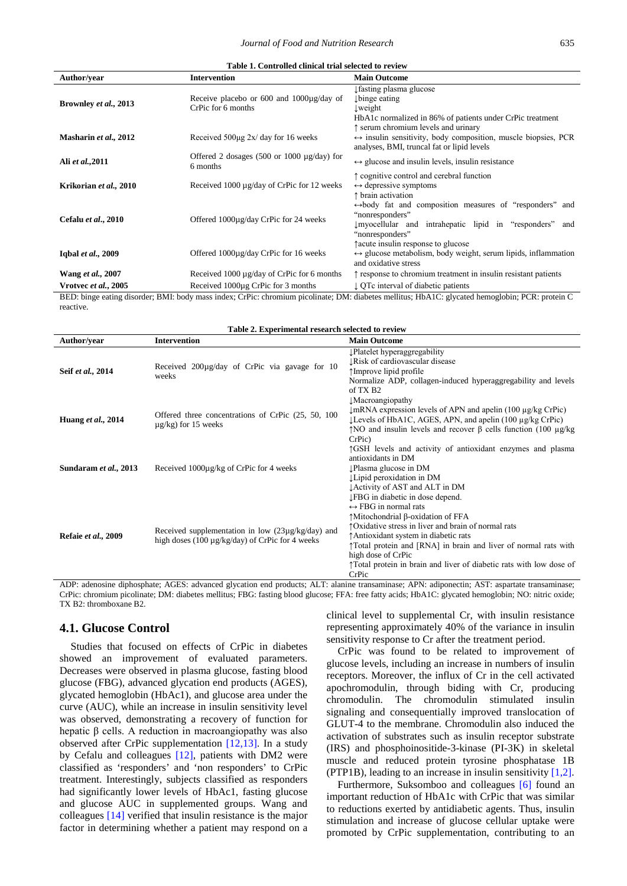<span id="page-2-0"></span>

| Table 1. Controlled clinical trial selected to review |                                                                           |                                                                                                                                                                             |  |
|-------------------------------------------------------|---------------------------------------------------------------------------|-----------------------------------------------------------------------------------------------------------------------------------------------------------------------------|--|
| Author/vear                                           | <b>Intervention</b>                                                       | <b>Main Outcome</b>                                                                                                                                                         |  |
| Brownley et al., 2013                                 | Receive placebo or 600 and $1000\mu$ g/day of<br>CrPic for 6 months       | ↓ fasting plasma glucose<br>↓ binge eating<br>$L$ weight<br>HbA1c normalized in 86% of patients under CrPic treatment                                                       |  |
| Masharin et al., 2012                                 | Received $500\mu$ g 2x/day for 16 weeks                                   | ↑ serum chromium levels and urinary<br>$\leftrightarrow$ insulin sensitivity, body composition, muscle biopsies, PCR<br>analyses, BMI, truncal fat or lipid levels          |  |
| Ali et al., 2011                                      | Offered 2 dosages $(500 \text{ or } 1000 \text{ µg/day})$ for<br>6 months | $\leftrightarrow$ glucose and insulin levels, insulin resistance                                                                                                            |  |
| Krikorian et al., 2010                                | Received 1000 µg/day of CrPic for 12 weeks                                | ↑ cognitive control and cerebral function<br>$\leftrightarrow$ depressive symptoms<br>↑ brain activation                                                                    |  |
| Cefalu et al., 2010                                   | Offered $1000\mu$ g/day CrPic for 24 weeks                                | $\leftrightarrow$ body fat and composition measures of "responders" and<br>"nonresponders"<br>Imyocellular and intrahepatic lipid in "responders"<br>and<br>"nonresponders" |  |
| Iqbal et al., 2009                                    | Offered 1000µg/day CrPic for 16 weeks                                     | facute insulin response to glucose<br>$\leftrightarrow$ glucose metabolism, body weight, serum lipids, inflammation<br>and oxidative stress                                 |  |
| Wang et al., 2007                                     | Received 1000 µg/day of CrPic for 6 months                                | $\uparrow$ response to chromium treatment in insulin resistant patients                                                                                                     |  |
| Vrotvec et al., 2005                                  | Received 1000µg CrPic for 3 months                                        | ↓ QTc interval of diabetic patients                                                                                                                                         |  |

BED: binge eating disorder; BMI: body mass index; CrPic: chromium picolinate; DM: diabetes mellitus; HbA1C: glycated hemoglobin; PCR: protein C reactive.

<span id="page-2-1"></span>

| Table 2. Experimental research selected to review |                                                                                                           |                                                                                                                                                                                                                                                                                                                                                                                      |  |
|---------------------------------------------------|-----------------------------------------------------------------------------------------------------------|--------------------------------------------------------------------------------------------------------------------------------------------------------------------------------------------------------------------------------------------------------------------------------------------------------------------------------------------------------------------------------------|--|
| <b>Author/vear</b>                                | <b>Intervention</b>                                                                                       | <b>Main Outcome</b>                                                                                                                                                                                                                                                                                                                                                                  |  |
| Seif et al., 2014                                 | Received 200µg/day of CrPic via gavage for 10<br>weeks                                                    | Platelet hyperaggregability<br><b>IRisk of cardiovascular disease</b><br>↑Improve lipid profile<br>Normalize ADP, collagen-induced hyperaggregability and levels<br>of TX B <sub>2</sub>                                                                                                                                                                                             |  |
| Huang et al., 2014                                | Offered three concentrations of CrPic (25, 50, 100)<br>$\mu$ g/kg) for 15 weeks                           | <b>Macroangiopathy</b><br>$\downarrow$ mRNA expression levels of APN and apelin (100 $\mu$ g/kg CrPic)<br>$\angle$ Levels of HbA1C, AGES, APN, and apelin (100 $\mu$ g/kg CrPic)<br>$\uparrow$ NO and insulin levels and recover $\upbeta$ cells function (100 µg/kg)<br>$CrPic$ )                                                                                                   |  |
| Sundaram et al., 2013                             | Received 1000µg/kg of CrPic for 4 weeks                                                                   | TGSH levels and activity of antioxidant enzymes and plasma<br>antioxidants in DM<br>↓Plasma glucose in DM<br>Lipid peroxidation in DM<br>Activity of AST and ALT in DM                                                                                                                                                                                                               |  |
| Refaie et al., 2009                               | Received supplementation in low (23µg/kg/day) and<br>high doses $(100 \mu g/kg/day)$ of CrPic for 4 weeks | ↓FBG in diabetic in dose depend.<br>$\leftrightarrow$ FBG in normal rats<br>†Mitochondrial β-oxidation of FFA<br>toxidative stress in liver and brain of normal rats<br>↑ Antioxidant system in diabetic rats<br>Total protein and [RNA] in brain and liver of normal rats with<br>high dose of CrPic<br>Total protein in brain and liver of diabetic rats with low dose of<br>CrPic |  |

ADP: adenosine diphosphate; AGES: advanced glycation end products; ALT: alanine transaminase; APN: adiponectin; AST: aspartate transaminase; CrPic: chromium picolinate; DM: diabetes mellitus; FBG: fasting blood glucose; FFA: free fatty acids; HbA1C: glycated hemoglobin; NO: nitric oxide; TX B2: thromboxane B2.

#### **4.1. Glucose Control**

Studies that focused on effects of CrPic in diabetes showed an improvement of evaluated parameters. Decreases were observed in plasma glucose, fasting blood glucose (FBG), advanced glycation end products (AGES), glycated hemoglobin (HbAc1), and glucose area under the curve (AUC), while an increase in insulin sensitivity level was observed, demonstrating a recovery of function for hepatic β cells. A reduction in macroangiopathy was also observed after CrPic supplementation [\[12,13\].](#page-5-6) In a study by Cefalu and colleagues [\[12\],](#page-5-6) patients with DM2 were classified as 'responders' and 'non responders' to CrPic treatment. Interestingly, subjects classified as responders had significantly lower levels of HbAc1, fasting glucose and glucose AUC in supplemented groups. Wang and colleagues [\[14\]](#page-6-0) verified that insulin resistance is the major factor in determining whether a patient may respond on a clinical level to supplemental Cr, with insulin resistance representing approximately 40% of the variance in insulin sensitivity response to Cr after the treatment period.

CrPic was found to be related to improvement of glucose levels, including an increase in numbers of insulin receptors. Moreover, the influx of Cr in the cell activated apochromodulin, through biding with Cr, producing chromodulin. The chromodulin stimulated insulin signaling and consequentially improved translocation of GLUT-4 to the membrane. Chromodulin also induced the activation of substrates such as insulin receptor substrate (IRS) and phosphoinositide-3-kinase (PI-3K) in skeletal muscle and reduced protein tyrosine phosphatase 1B (PTP1B), leading to an increase in insulin sensitivity [\[1,2\].](#page-5-0)

Furthermore, Suksomboo and colleagues [\[6\]](#page-5-2) found an important reduction of HbA1c with CrPic that was similar to reductions exerted by antidiabetic agents. Thus, insulin stimulation and increase of glucose cellular uptake were promoted by CrPic supplementation, contributing to an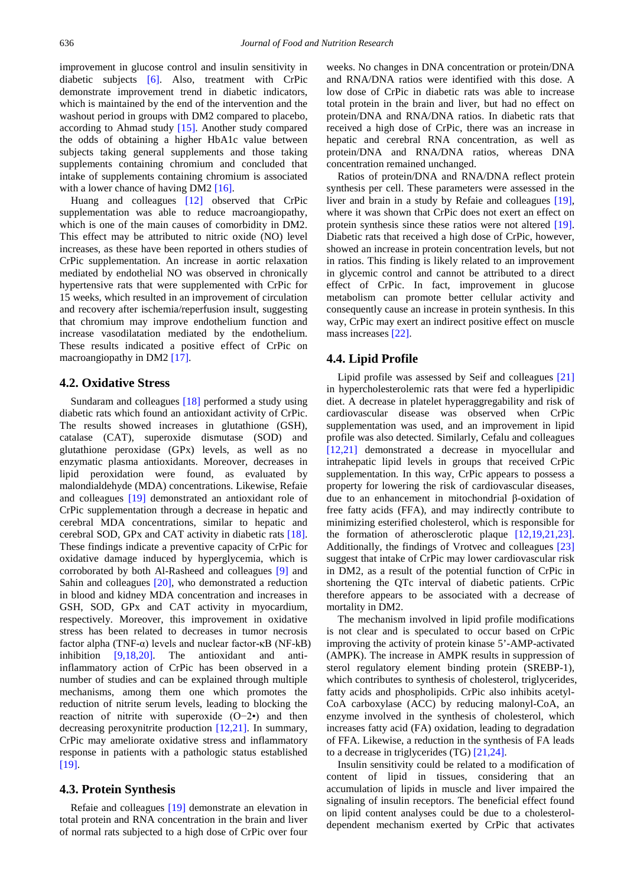improvement in glucose control and insulin sensitivity in diabetic subjects [\[6\].](#page-5-2) Also, treatment with CrPic demonstrate improvement trend in diabetic indicators, which is maintained by the end of the intervention and the washout period in groups with DM2 compared to placebo, according to Ahmad study [\[15\].](#page-6-1) Another study compared the odds of obtaining a higher HbA1c value between subjects taking general supplements and those taking supplements containing chromium and concluded that intake of supplements containing chromium is associated with a lower chance of having DM[2 \[16\].](#page-6-2)

Huang and colleagues [\[12\]](#page-5-6) observed that CrPic supplementation was able to reduce macroangiopathy, which is one of the main causes of comorbidity in DM2. This effect may be attributed to nitric oxide (NO) level increases, as these have been reported in others studies of CrPic supplementation. An increase in aortic relaxation mediated by endothelial NO was observed in chronically hypertensive rats that were supplemented with CrPic for 15 weeks, which resulted in an improvement of circulation and recovery after ischemia/reperfusion insult, suggesting that chromium may improve endothelium function and increase vasodilatation mediated by the endothelium. These results indicated a positive effect of CrPic on macroangiopathy in DM2 [\[17\].](#page-6-3)

#### **4.2. Oxidative Stress**

Sundaram and colleagues [\[18\]](#page-6-4) performed a study using diabetic rats which found an antioxidant activity of CrPic. The results showed increases in glutathione (GSH), catalase (CAT), superoxide dismutase (SOD) and glutathione peroxidase (GPx) levels, as well as no enzymatic plasma antioxidants. Moreover, decreases in lipid peroxidation were found, as evaluated by malondialdehyde (MDA) concentrations. Likewise, Refaie and colleagues [\[19\]](#page-6-5) demonstrated an antioxidant role of CrPic supplementation through a decrease in hepatic and cerebral MDA concentrations, similar to hepatic and cerebral SOD, GPx and CAT activity in diabetic rats [\[18\].](#page-6-4) These findings indicate a preventive capacity of CrPic for oxidative damage induced by hyperglycemia, which is corroborated by both Al-Rasheed and colleagues [\[9\]](#page-5-7) and Sahin and colleagues [\[20\],](#page-6-6) who demonstrated a reduction in blood and kidney MDA concentration and increases in GSH, SOD, GPx and CAT activity in myocardium, respectively. Moreover, this improvement in oxidative stress has been related to decreases in tumor necrosis factor alpha (TNF-α) levels and nuclear factor-κB (NF-kB) inhibition [\[9,18,20\].](#page-5-7) The antioxidant and antiinflammatory action of CrPic has been observed in a number of studies and can be explained through multiple mechanisms, among them one which promotes the reduction of nitrite serum levels, leading to blocking the reaction of nitrite with superoxide (O−2•) and then decreasing peroxynitrite production [\[12,21\].](#page-5-6) In summary, CrPic may ameliorate oxidative stress and inflammatory response in patients with a pathologic status established [\[19\].](#page-6-5)

#### **4.3. Protein Synthesis**

Refaie and colleagues [\[19\]](#page-6-5) demonstrate an elevation in total protein and RNA concentration in the brain and liver of normal rats subjected to a high dose of CrPic over four weeks. No changes in DNA concentration or protein/DNA and RNA/DNA ratios were identified with this dose. A low dose of CrPic in diabetic rats was able to increase total protein in the brain and liver, but had no effect on protein/DNA and RNA/DNA ratios. In diabetic rats that received a high dose of CrPic, there was an increase in hepatic and cerebral RNA concentration, as well as protein/DNA and RNA/DNA ratios, whereas DNA concentration remained unchanged.

Ratios of protein/DNA and RNA/DNA reflect protein synthesis per cell. These parameters were assessed in the liver and brain in a study by Refaie and colleagues [\[19\],](#page-6-5) where it was shown that CrPic does not exert an effect on protein synthesis since these ratios were not altered [\[19\].](#page-6-5) Diabetic rats that received a high dose of CrPic, however, showed an increase in protein concentration levels, but not in ratios. This finding is likely related to an improvement in glycemic control and cannot be attributed to a direct effect of CrPic. In fact, improvement in glucose metabolism can promote better cellular activity and consequently cause an increase in protein synthesis. In this way, CrPic may exert an indirect positive effect on muscle mass increases [\[22\].](#page-6-7)

#### **4.4. Lipid Profile**

Lipid profile was assessed by Seif and colleagues [\[21\]](#page-6-8) in hypercholesterolemic rats that were fed a hyperlipidic diet. A decrease in platelet hyperaggregability and risk of cardiovascular disease was observed when CrPic supplementation was used, and an improvement in lipid profile was also detected. Similarly, Cefalu and colleagues [\[12,21\]](#page-5-6) demonstrated a decrease in myocellular and intrahepatic lipid levels in groups that received CrPic supplementation. In this way, CrPic appears to possess a property for lowering the risk of cardiovascular diseases, due to an enhancement in mitochondrial β-oxidation of free fatty acids (FFA), and may indirectly contribute to minimizing esterified cholesterol, which is responsible for the formation of atherosclerotic plaque [\[12,19,21,23\].](#page-5-6) Additionally, the findings of Vrotvec and colleagues [\[23\]](#page-6-9) suggest that intake of CrPic may lower cardiovascular risk in DM2, as a result of the potential function of CrPic in shortening the QTc interval of diabetic patients. CrPic therefore appears to be associated with a decrease of mortality in DM2.

The mechanism involved in lipid profile modifications is not clear and is speculated to occur based on CrPic improving the activity of protein kinase 5'-AMP-activated (AMPK). The increase in AMPK results in suppression of sterol regulatory element binding protein (SREBP-1), which contributes to synthesis of cholesterol, triglycerides, fatty acids and phospholipids. CrPic also inhibits acetyl-CoA carboxylase (ACC) by reducing malonyl-CoA, an enzyme involved in the synthesis of cholesterol, which increases fatty acid (FA) oxidation, leading to degradation of FFA. Likewise, a reduction in the synthesis of FA leads to a decrease in triglycerides (TG[\) \[21,24\].](#page-6-8)

Insulin sensitivity could be related to a modification of content of lipid in tissues, considering that an accumulation of lipids in muscle and liver impaired the signaling of insulin receptors. The beneficial effect found on lipid content analyses could be due to a cholesteroldependent mechanism exerted by CrPic that activates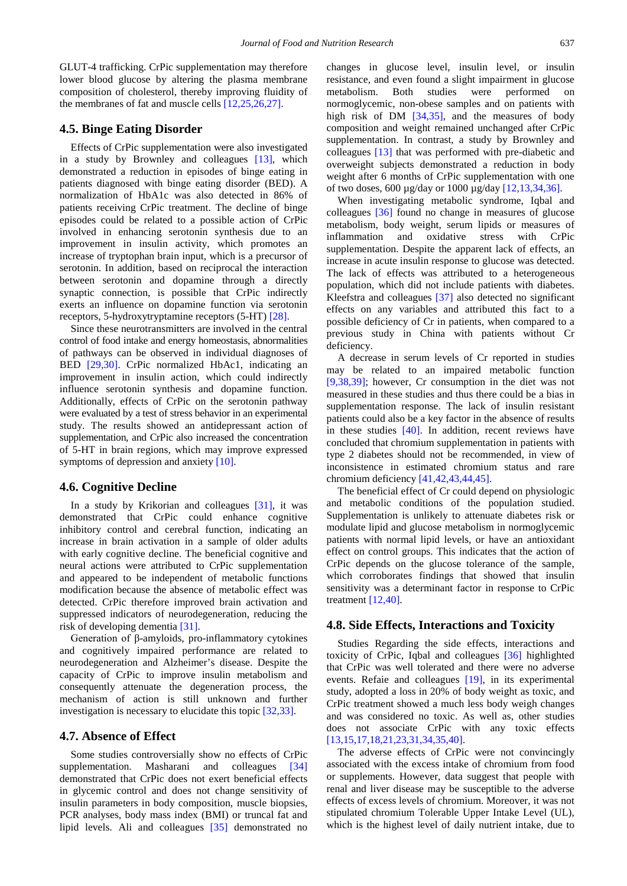GLUT-4 trafficking. CrPic supplementation may therefore lower blood glucose by altering the plasma membrane composition of cholesterol, thereby improving fluidity of the membranes of fat and muscle cells [\[12,25,26,27\].](#page-5-6)

#### **4.5. Binge Eating Disorder**

Effects of CrPic supplementation were also investigated in a study by Brownley and colleagues [\[13\],](#page-6-10) which demonstrated a reduction in episodes of binge eating in patients diagnosed with binge eating disorder (BED). A normalization of HbA1c was also detected in 86% of patients receiving CrPic treatment. The decline of binge episodes could be related to a possible action of CrPic involved in enhancing serotonin synthesis due to an improvement in insulin activity, which promotes an increase of tryptophan brain input, which is a precursor of serotonin. In addition, based on reciprocal the interaction between serotonin and dopamine through a directly synaptic connection, is possible that CrPic indirectly exerts an influence on dopamine function via serotonin receptors, 5-hydroxytryptamine receptors (5-HT) [\[28\].](#page-6-11)

Since these neurotransmitters are involved in the central control of food intake and energy homeostasis, abnormalities of pathways can be observed in individual diagnoses of BED [\[29,30\].](#page-6-12) CrPic normalized HbAc1, indicating an improvement in insulin action, which could indirectly influence serotonin synthesis and dopamine function. Additionally, effects of CrPic on the serotonin pathway were evaluated by a test of stress behavior in an experimental study. The results showed an antidepressant action of supplementation, and CrPic also increased the concentration of 5-HT in brain regions, which may improve expressed symptoms of depression and anxiety [\[10\].](#page-5-8)

#### **4.6. Cognitive Decline**

In a study by Krikorian and colleagues [\[31\],](#page-6-13) it was demonstrated that CrPic could enhance cognitive inhibitory control and cerebral function, indicating an increase in brain activation in a sample of older adults with early cognitive decline. The beneficial cognitive and neural actions were attributed to CrPic supplementation and appeared to be independent of metabolic functions modification because the absence of metabolic effect was detected. CrPic therefore improved brain activation and suppressed indicators of neurodegeneration, reducing the risk of developing dementia [\[31\].](#page-6-13)

Generation of β-amyloids, pro-inflammatory cytokines and cognitively impaired performance are related to neurodegeneration and Alzheimer's disease. Despite the capacity of CrPic to improve insulin metabolism and consequently attenuate the degeneration process, the mechanism of action is still unknown and further investigation is necessary to elucidate this topi[c \[32,33\].](#page-6-14)

#### **4.7. Absence of Effect**

Some studies controversially show no effects of CrPic supplementation. Masharani and colleagues [\[34\]](#page-6-15) demonstrated that CrPic does not exert beneficial effects in glycemic control and does not change sensitivity of insulin parameters in body composition, muscle biopsies, PCR analyses, body mass index (BMI) or truncal fat and lipid levels. Ali and colleagues [\[35\]](#page-6-16) demonstrated no changes in glucose level, insulin level, or insulin resistance, and even found a slight impairment in glucose metabolism. Both studies were performed on normoglycemic, non-obese samples and on patients with high risk of DM [\[34,35\],](#page-6-15) and the measures of body composition and weight remained unchanged after CrPic supplementation. In contrast, a study by Brownley and colleagues [\[13\]](#page-6-10) that was performed with pre-diabetic and overweight subjects demonstrated a reduction in body weight after 6 months of CrPic supplementation with one of two doses, 600 µg/day or 1000 µg/da[y \[12,13,34,36\].](#page-5-6)

When investigating metabolic syndrome, Iqbal and colleagues [\[36\]](#page-6-17) found no change in measures of glucose metabolism, body weight, serum lipids or measures of inflammation and oxidative stress with CrPic supplementation. Despite the apparent lack of effects, an increase in acute insulin response to glucose was detected. The lack of effects was attributed to a heterogeneous population, which did not include patients with diabetes. Kleefstra and colleagues [\[37\]](#page-6-18) also detected no significant effects on any variables and attributed this fact to a possible deficiency of Cr in patients, when compared to a previous study in China with patients without Cr deficiency.

A decrease in serum levels of Cr reported in studies may be related to an impaired metabolic function [\[9,38,39\];](#page-5-7) however, Cr consumption in the diet was not measured in these studies and thus there could be a bias in supplementation response. The lack of insulin resistant patients could also be a key factor in the absence of results in these studies [\[40\].](#page-6-19) In addition, recent reviews have concluded that chromium supplementation in patients with type 2 diabetes should not be recommended, in view of inconsistence in estimated chromium status and rare chromium deficiency [\[41,42,43,44,45\].](#page-6-20)

The beneficial effect of Cr could depend on physiologic and metabolic conditions of the population studied. Supplementation is unlikely to attenuate diabetes risk or modulate lipid and glucose metabolism in normoglycemic patients with normal lipid levels, or have an antioxidant effect on control groups. This indicates that the action of CrPic depends on the glucose tolerance of the sample, which corroborates findings that showed that insulin sensitivity was a determinant factor in response to CrPic treatment [\[12,40\].](#page-5-6)

#### **4.8. Side Effects, Interactions and Toxicity**

Studies Regarding the side effects, interactions and toxicity of CrPic, Iqbal and colleagues [\[36\]](#page-6-17) highlighted that CrPic was well tolerated and there were no adverse events. Refaie and colleagues [\[19\],](#page-6-5) in its experimental study, adopted a loss in 20% of body weight as toxic, and CrPic treatment showed a much less body weigh changes and was considered no toxic. As well as, other studies does not associate CrPic with any toxic effects [\[13,15,17,18,21,23,31,34,35,40\].](#page-6-10) 

The adverse effects of CrPic were not convincingly associated with the excess intake of chromium from food or supplements. However, data suggest that people with renal and liver disease may be susceptible to the adverse effects of excess levels of chromium. Moreover, it was not stipulated chromium Tolerable Upper Intake Level (UL), which is the highest level of daily nutrient intake, due to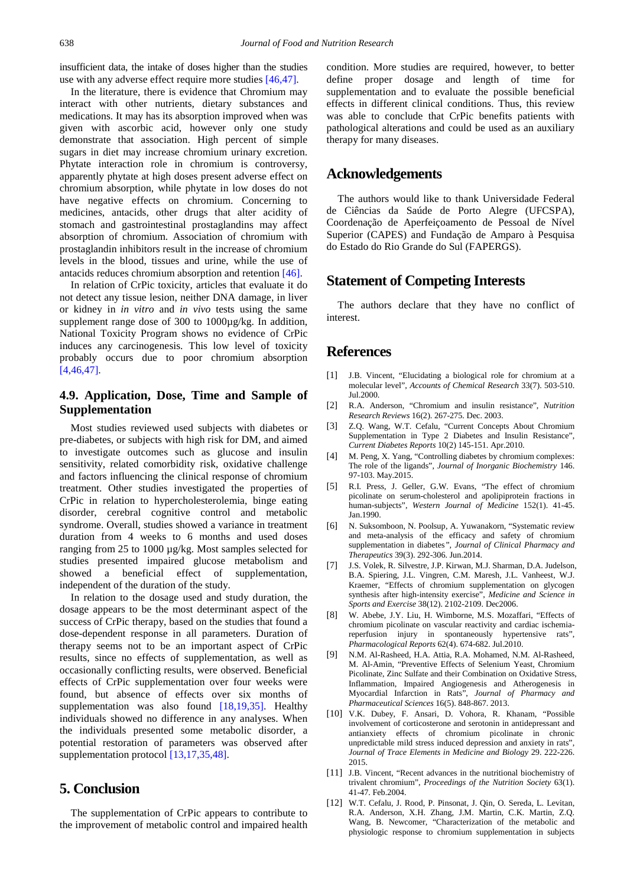insufficient data, the intake of doses higher than the studies use with any adverse effect require more studies [\[46,47\].](#page-6-21)

In the literature, there is evidence that Chromium may interact with other nutrients, dietary substances and medications. It may has its absorption improved when was given with ascorbic acid, however only one study demonstrate that association. High percent of simple sugars in diet may increase chromium urinary excretion. Phytate interaction role in chromium is controversy, apparently phytate at high doses present adverse effect on chromium absorption, while phytate in low doses do not have negative effects on chromium. Concerning to medicines, antacids, other drugs that alter acidity of stomach and gastrointestinal prostaglandins may affect absorption of chromium. Association of chromium with prostaglandin inhibitors result in the increase of chromium levels in the blood, tissues and urine, while the use of antacids reduces chromium absorption and retention [\[46\].](#page-6-21)

In relation of CrPic toxicity, articles that evaluate it do not detect any tissue lesion, neither DNA damage, in liver or kidney in *in vitro* and *in vivo* tests using the same supplement range dose of 300 to 1000µg/kg. In addition, National Toxicity Program shows no evidence of CrPic induces any carcinogenesis. This low level of toxicity probably occurs due to poor chromium absorption [\[4,46,47\].](#page-5-5) 

## **4.9. Application, Dose, Time and Sample of Supplementation**

Most studies reviewed used subjects with diabetes or pre-diabetes, or subjects with high risk for DM, and aimed to investigate outcomes such as glucose and insulin sensitivity, related comorbidity risk, oxidative challenge and factors influencing the clinical response of chromium treatment. Other studies investigated the properties of CrPic in relation to hypercholesterolemia, binge eating disorder, cerebral cognitive control and metabolic syndrome. Overall, studies showed a variance in treatment duration from 4 weeks to 6 months and used doses ranging from 25 to 1000 µg/kg. Most samples selected for studies presented impaired glucose metabolism and showed a beneficial effect of supplementation, independent of the duration of the study.

In relation to the dosage used and study duration, the dosage appears to be the most determinant aspect of the success of CrPic therapy, based on the studies that found a dose-dependent response in all parameters. Duration of therapy seems not to be an important aspect of CrPic results, since no effects of supplementation, as well as occasionally conflicting results, were observed. Beneficial effects of CrPic supplementation over four weeks were found, but absence of effects over six months of supplementation was also found [\[18,19,35\].](#page-6-4) Healthy individuals showed no difference in any analyses. When the individuals presented some metabolic disorder, a potential restoration of parameters was observed after supplementation protocol [\[13,17,35,48\].](#page-6-10)

## **5. Conclusion**

The supplementation of CrPic appears to contribute to the improvement of metabolic control and impaired health condition. More studies are required, however, to better define proper dosage and length of time for supplementation and to evaluate the possible beneficial effects in different clinical conditions. Thus, this review was able to conclude that CrPic benefits patients with pathological alterations and could be used as an auxiliary therapy for many diseases.

## **Acknowledgements**

The authors would like to thank Universidade Federal de Ciências da Saúde de Porto Alegre (UFCSPA), Coordenação de Aperfeiçoamento de Pessoal de Nível Superior (CAPES) and Fundação de Amparo à Pesquisa do Estado do Rio Grande do Sul (FAPERGS).

## **Statement of Competing Interests**

The authors declare that they have no conflict of interest.

## **References**

- <span id="page-5-0"></span>[1] J.B. Vincent, "Elucidating a biological role for chromium at a molecular level", *Accounts of Chemical Research* 33(7). 503-510. Jul.2000.
- [2] R.A. Anderson, "Chromium and insulin resistance", *Nutrition Research Reviews* 16(2). 267-275. Dec. 2003.
- <span id="page-5-1"></span>[3] Z.Q. Wang, W.T. Cefalu, "Current Concepts About Chromium Supplementation in Type 2 Diabetes and Insulin Resistance", *Current Diabetes Reports* 10(2) 145-151. Apr.2010.
- <span id="page-5-5"></span>[4] M. Peng, X. Yang, "Controlling diabetes by chromium complexes: The role of the ligands", *Journal of Inorganic Biochemistry* 146. 97-103. May.2015.
- <span id="page-5-3"></span>[5] R.I. Press, J. Geller, G.W. Evans, "The effect of chromium picolinate on serum-cholesterol and apolipiprotein fractions in human-subjects", *Western Journal of Medicine* 152(1). 41-45. Jan.1990.
- <span id="page-5-2"></span>[6] N. Suksomboon, N. Poolsup, A. Yuwanakorn, "Systematic review and meta-analysis of the efficacy and safety of chromium supplementation in diabetes*", Journal of Clinical Pharmacy and Therapeutics* 39(3). 292-306. Jun.2014.
- <span id="page-5-4"></span>[7] J.S. Volek, R. Silvestre, J.P. Kirwan, M.J. Sharman, D.A. Judelson, B.A. Spiering, J.L. Vingren, C.M. Maresh, J.L. Vanheest, W.J. Kraemer, "Effects of chromium supplementation on glycogen synthesis after high-intensity exercise", *Medicine and Science in Sports and Exercise* 38(12). 2102-2109. Dec2006.
- [8] W. Abebe, J.Y. Liu, H. Wimborne, M.S. Mozaffari, "Effects of chromium picolinate on vascular reactivity and cardiac ischemiareperfusion injury in spontaneously hypertensive rats", *Pharmacological Reports* 62(4). 674-682. Jul.2010.
- <span id="page-5-7"></span>[9] N.M. Al-Rasheed, H.A. Attia, R.A. Mohamed, N.M. Al-Rasheed, M. Al-Amin, "Preventive Effects of Selenium Yeast, Chromium Picolinate, Zinc Sulfate and their Combination on Oxidative Stress, Inflammation, Impaired Angiogenesis and Atherogenesis in Myocardial Infarction in Rats", *Journal of Pharmacy and Pharmaceutical Sciences* 16(5). 848-867. 2013.
- <span id="page-5-8"></span>[10] V.K. Dubey, F. Ansari, D. Vohora, R. Khanam, "Possible involvement of corticosterone and serotonin in antidepressant and antianxiety effects of chromium picolinate in chronic unpredictable mild stress induced depression and anxiety in rats", *Journal of Trace Elements in Medicine and Biology* 29. 222-226. 2015.
- [11] J.B. Vincent, "Recent advances in the nutritional biochemistry of trivalent chromium", *Proceedings of the Nutrition Society* 63(1). 41-47. Feb.2004.
- <span id="page-5-6"></span>[12] W.T. Cefalu, J. Rood, P. Pinsonat, J. Qin, O. Sereda, L. Levitan, R.A. Anderson, X.H. Zhang, J.M. Martin, C.K. Martin, Z.Q. Wang, B. Newcomer, "Characterization of the metabolic and physiologic response to chromium supplementation in subjects